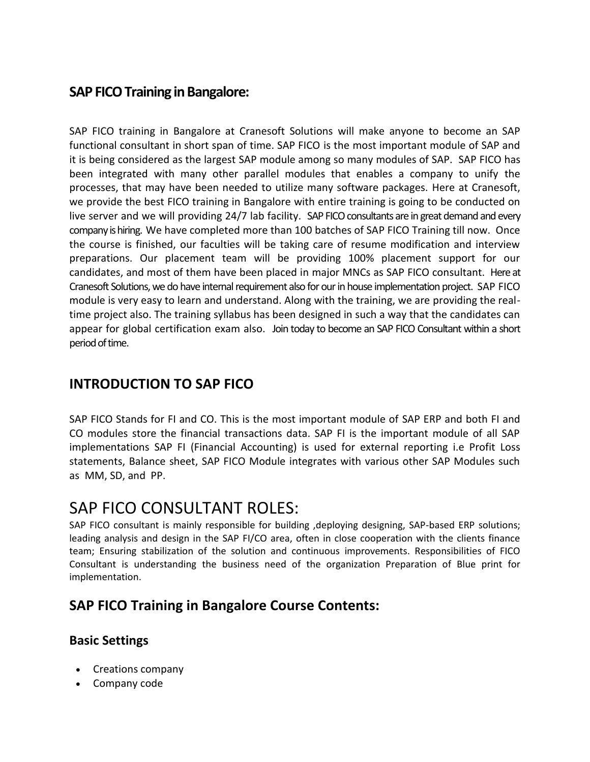# **SAP FICO Training in Bangalore:**

SAP FICO training in Bangalore at Cranesoft Solutions will make anyone to become an SAP functional consultant in short span of time. SAP FICO is the most important module of SAP and it is being considered as the largest SAP module among so many modules of SAP. SAP FICO has been integrated with many other parallel modules that enables a company to unify the processes, that may have been needed to utilize many software packages. Here at Cranesoft, we provide the best FICO training in Bangalore with entire training is going to be conducted on live server and we will providing 24/7 lab facility. SAP FICO consultants are in great demand and every company is hiring. We have completed more than 100 batches of SAP FICO Training till now. Once the course is finished, our faculties will be taking care of resume modification and interview preparations. Our placement team will be providing 100% placement support for our candidates, and most of them have been placed in major MNCs as SAP FICO consultant. Here at Cranesoft Solutions, we do have internal requirement also for our in house implementation project. SAP FICO module is very easy to learn and understand. Along with the training, we are providing the realtime project also. The training syllabus has been designed in such a way that the candidates can appear for global certification exam also. Join today to become an SAP FICO Consultant within a short period of time.

# **INTRODUCTION TO SAP FICO**

SAP FICO Stands for FI and CO. This is the most important module of SAP ERP and both FI and CO modules store the financial transactions data. SAP FI is the important module of all SAP implementations SAP FI (Financial Accounting) is used for external reporting i.e Profit Loss statements, Balance sheet, SAP FICO Module integrates with various other SAP Modules such as MM, SD, and PP.

# SAP FICO CONSULTANT ROLES:

SAP FICO consultant is mainly responsible for building ,deploying designing, SAP-based ERP solutions; leading analysis and design in the SAP FI/CO area, often in close cooperation with the clients finance team; Ensuring stabilization of the solution and continuous improvements. Responsibilities of FICO Consultant is understanding the business need of the organization Preparation of Blue print for implementation.

# **SAP FICO Training in Bangalore Course Contents:**

## **Basic Settings**

- Creations company
- Company code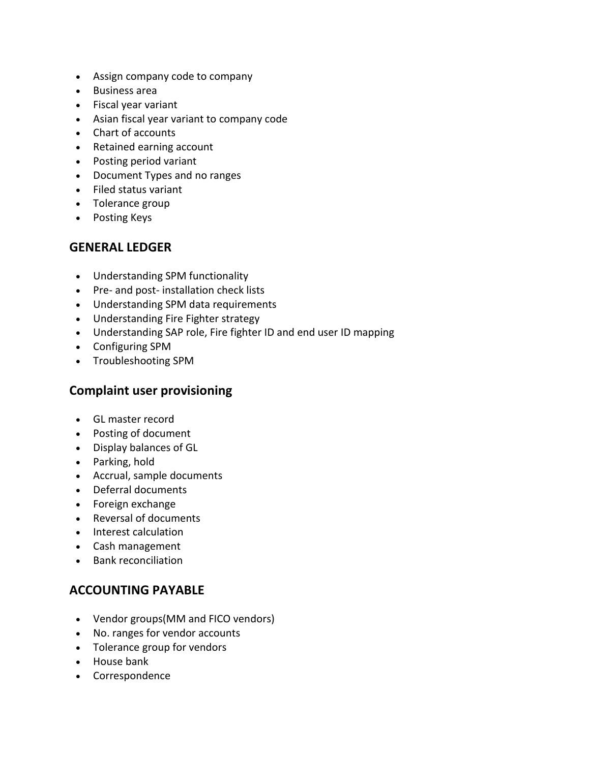- Assign company code to company
- Business area
- Fiscal year variant
- Asian fiscal year variant to company code
- Chart of accounts
- Retained earning account
- Posting period variant
- Document Types and no ranges
- Filed status variant
- Tolerance group
- Posting Keys

#### **GENERAL LEDGER**

- Understanding SPM functionality
- Pre- and post- installation check lists
- Understanding SPM data requirements
- Understanding Fire Fighter strategy
- Understanding SAP role, Fire fighter ID and end user ID mapping
- Configuring SPM
- Troubleshooting SPM

#### **Complaint user provisioning**

- GL master record
- Posting of document
- Display balances of GL
- Parking, hold
- Accrual, sample documents
- Deferral documents
- Foreign exchange
- Reversal of documents
- Interest calculation
- Cash management
- Bank reconciliation

#### **ACCOUNTING PAYABLE**

- Vendor groups(MM and FICO vendors)
- No. ranges for vendor accounts
- Tolerance group for vendors
- House bank
- Correspondence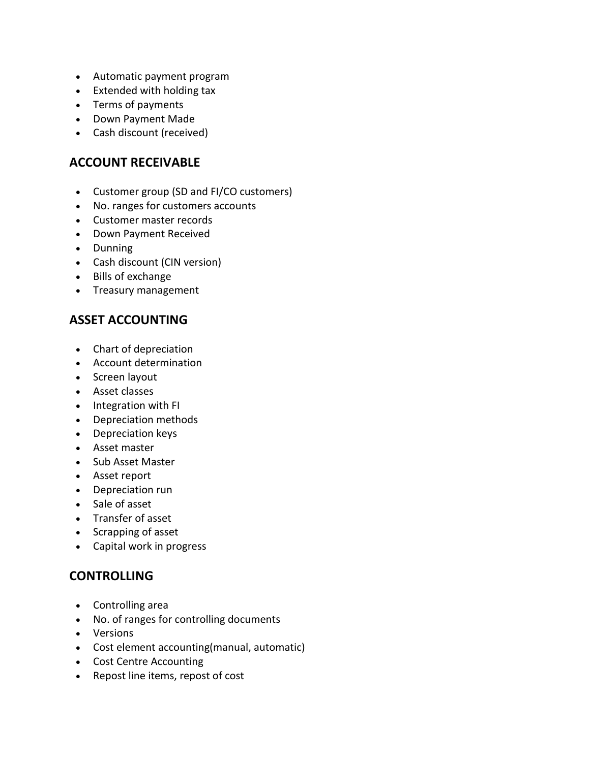- Automatic payment program
- Extended with holding tax
- Terms of payments
- Down Payment Made
- Cash discount (received)

## **ACCOUNT RECEIVABLE**

- Customer group (SD and FI/CO customers)
- No. ranges for customers accounts
- Customer master records
- Down Payment Received
- Dunning
- Cash discount (CIN version)
- Bills of exchange
- Treasury management

## **ASSET ACCOUNTING**

- Chart of depreciation
- Account determination
- Screen layout
- Asset classes
- Integration with FI
- Depreciation methods
- Depreciation keys
- Asset master
- Sub Asset Master
- Asset report
- Depreciation run
- Sale of asset
- Transfer of asset
- Scrapping of asset
- Capital work in progress

## **CONTROLLING**

- Controlling area
- No. of ranges for controlling documents
- Versions
- Cost element accounting(manual, automatic)
- Cost Centre Accounting
- Repost line items, repost of cost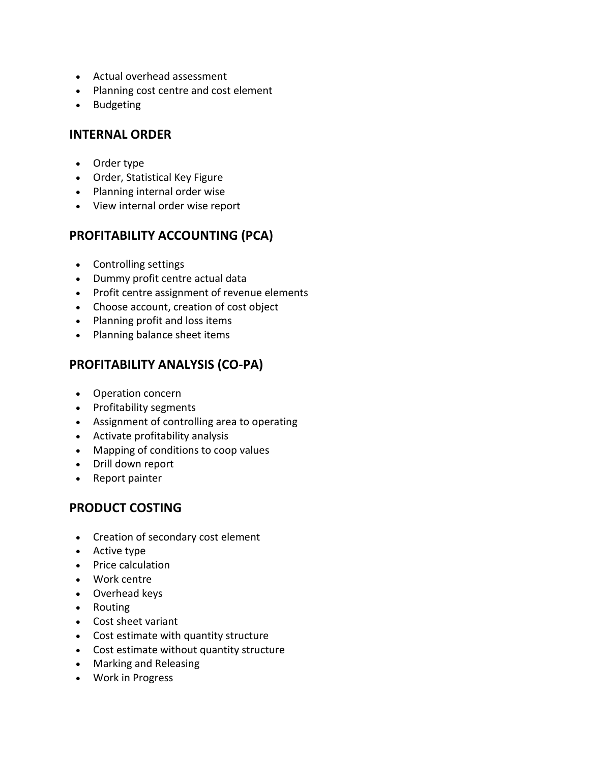- Actual overhead assessment
- Planning cost centre and cost element
- Budgeting

#### **INTERNAL ORDER**

- Order type
- Order, Statistical Key Figure
- Planning internal order wise
- View internal order wise report

## **PROFITABILITY ACCOUNTING (PCA)**

- Controlling settings
- Dummy profit centre actual data
- Profit centre assignment of revenue elements
- Choose account, creation of cost object
- Planning profit and loss items
- Planning balance sheet items

## **PROFITABILITY ANALYSIS (CO-PA)**

- Operation concern
- Profitability segments
- Assignment of controlling area to operating
- Activate profitability analysis
- Mapping of conditions to coop values
- Drill down report
- Report painter

## **PRODUCT COSTING**

- Creation of secondary cost element
- Active type
- Price calculation
- Work centre
- Overhead keys
- Routing
- Cost sheet variant
- Cost estimate with quantity structure
- Cost estimate without quantity structure
- Marking and Releasing
- Work in Progress